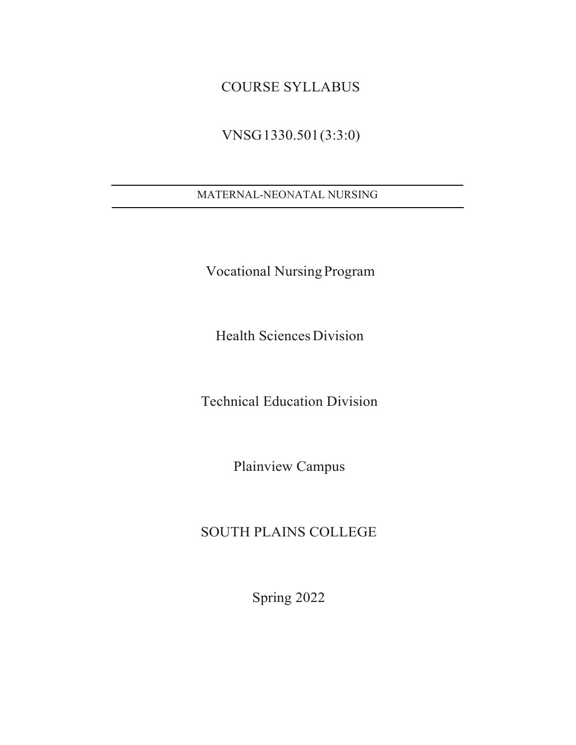# COURSE SYLLABUS

# VNSG1330.501(3:3:0)

# MATERNAL-NEONATAL NURSING

Vocational NursingProgram

Health Sciences Division

Technical Education Division

Plainview Campus

# SOUTH PLAINS COLLEGE

Spring 2022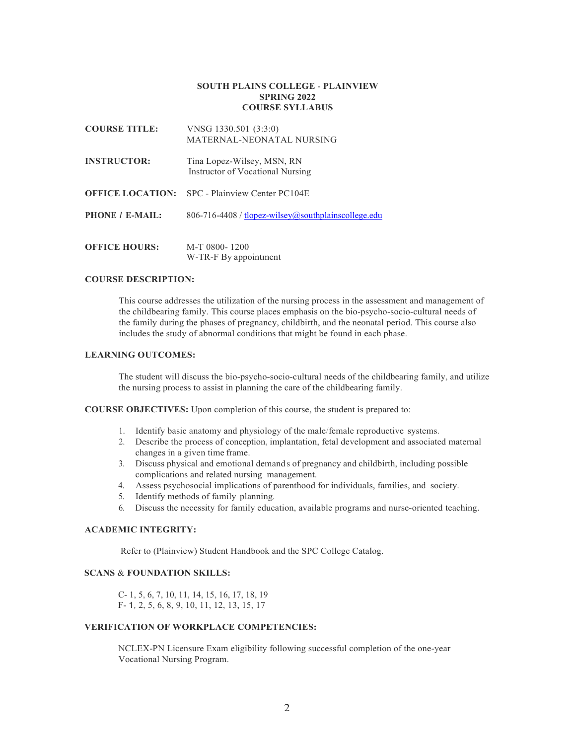#### **SOUTH PLAINS COLLEGE** - **PLAINVIEW SPRING 2022 COURSE SYLLABUS**

| <b>COURSE TITLE:</b> | VNSG 1330.501 (3:3:0)<br>MATERNAL-NEONATAL NURSING             |
|----------------------|----------------------------------------------------------------|
| <b>INSTRUCTOR:</b>   | Tina Lopez-Wilsey, MSN, RN<br>Instructor of Vocational Nursing |
|                      | <b>OFFICE LOCATION:</b> SPC - Plainview Center PC104E          |
| PHONE / E-MAIL:      | $806-716-4408$ / tlopez-wilsey@southplainscollege.edu          |
| <b>OFFICE HOURS:</b> | M-T 0800-1200<br>W-TR-F By appointment                         |

# **COURSE DESCRIPTION:**

This course addresses the utilization of the nursing process in the assessment and management of the childbearing family. This course places emphasis on the bio-psycho-socio-cultural needs of the family during the phases of pregnancy, childbirth, and the neonatal period. This course also includes the study of abnormal conditions that might be found in each phase.

#### **LEARNING OUTCOMES:**

The student will discuss the bio-psycho-socio-cultural needs of the childbearing family, and utilize the nursing process to assist in planning the care of the childbearing family.

**COURSE OBJECTIVES:** Upon completion of this course, the student is prepared to:

- 1. Identify basic anatomy and physiology of the male/female reproductive systems.
- 2. Describe the process of conception, implantation, fetal development and associated maternal changes in a given time frame.
- 3. Discuss physical and emotional demand s of pregnancy and childbirth, including possible complications and related nursing management.
- 4. Assess psychosocial implications of parenthood for individuals, families, and society.
- 5. Identify methods of family planning.
- 6. Discuss the necessity for family education, available programs and nurse-oriented teaching.

### **ACADEMIC INTEGRITY:**

Refer to (Plainview) Student Handbook and the SPC College Catalog.

# **SCANS** & **FOUNDATION SKILLS:**

C- 1, 5, 6, 7, 10, 11, 14, 15, 16, 17, 18, 19 F- 1, 2, 5, 6, 8, 9, 10, 11, 12, 13, 15, 17

# **VERIFICATION OF WORKPLACE COMPETENCIES:**

NCLEX-PN Licensure Exam eligibility following successful completion of the one-year Vocational Nursing Program.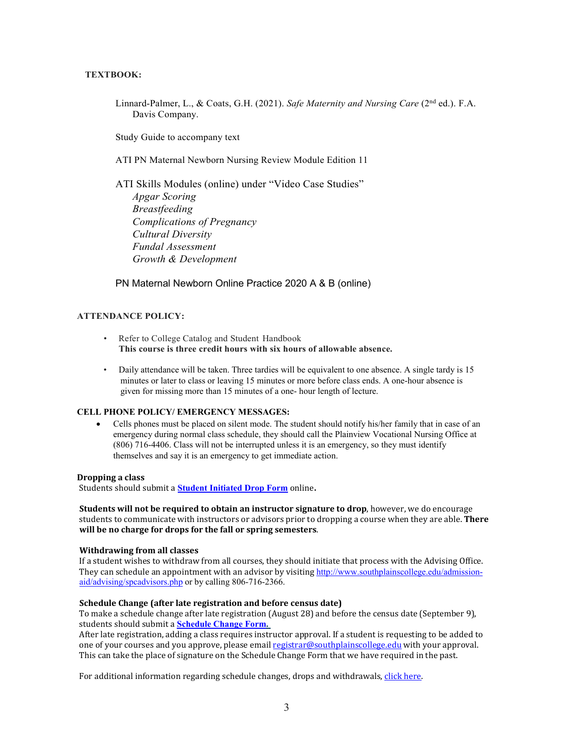# **TEXTBOOK:**

Linnard-Palmer, L., & Coats, G.H. (2021). *Safe Maternity and Nursing Care* (2nd ed.). F.A. Davis Company.

Study Guide to accompany text

ATI PN Maternal Newborn Nursing Review Module Edition 11

ATI Skills Modules (online) under "Video Case Studies" *Apgar Scoring Breastfeeding Complications of Pregnancy Cultural Diversity Fundal Assessment Growth & Development*

PN Maternal Newborn Online Practice 2020 A & B (online)

### **ATTENDANCE POLICY:**

- Refer to College Catalog and Student Handbook **This course is three credit hours with six hours of allowable absence.**
- Daily attendance will be taken. Three tardies will be equivalent to one absence. A single tardy is 15 minutes or later to class or leaving 15 minutes or more before class ends. A one-hour absence is given for missing more than 15 minutes of a one- hour length of lecture.

### **CELL PHONE POLICY/ EMERGENCY MESSAGES:**

• Cells phones must be placed on silent mode. The student should notify his/her family that in case of an emergency during normal class schedule, they should call the Plainview Vocational Nursing Office at (806) 716-4406. Class will not be interrupted unless it is an emergency, so they must identify themselves and say it is an emergency to get immediate action.

### **Dropping a class**

Students should submit a **Student [Initiated](https://forms.office.com/Pages/ResponsePage.aspx?id=ZrGRbWrP6UWeIqAmJdCCqRkmPIpp6AVCixFJfcqITt9UODExTUFXS0JOODhJOTlYM0NEV1kzRk9GMS4u) Drop Form** online**.**

**Students will not be required to obtain an instructor signature to drop**, however, we do encourage students to communicate with instructors or advisors prior to dropping a course when they are able. **There will be no charge for drops for the fall or spring semesters**.

### **Withdrawing from all classes**

If a student wishes to withdraw from all courses, they should initiate that process with the Advising Office. They can schedule an appointment with an advisor by visiting [http://www.southplainscollege.edu/admission](http://www.southplainscollege.edu/admission-aid/advising/spcadvisors.php)[aid/advising/spcadvisors.php](http://www.southplainscollege.edu/admission-aid/advising/spcadvisors.php) or by calling 806-716-2366.

### **Schedule Change (after late registration and before census date)**

To make a schedule change after late registration (August 28) and before the census date (September 9), students should submit a **[Schedule](https://forms.office.com/Pages/ResponsePage.aspx?id=ZrGRbWrP6UWeIqAmJdCCqRkmPIpp6AVCixFJfcqITt9UODIyTkRZSkFHVDNSVFRFV0g0T0tVWVAwRi4u) Change Form.**

After late registration, adding a class requires instructor approval. If a student is requesting to be added to one of your courses and you approve, please email [registrar@southplainscollege.edu](mailto:registrar@southplainscollege.edu) with your approval. This can take the place of signature on the Schedule Change Form that we have required in the past.

For additional information regarding schedule changes, drops and withdrawals, click [here.](http://www.southplainscollege.edu/admission-aid/apply/schedulechanges.php)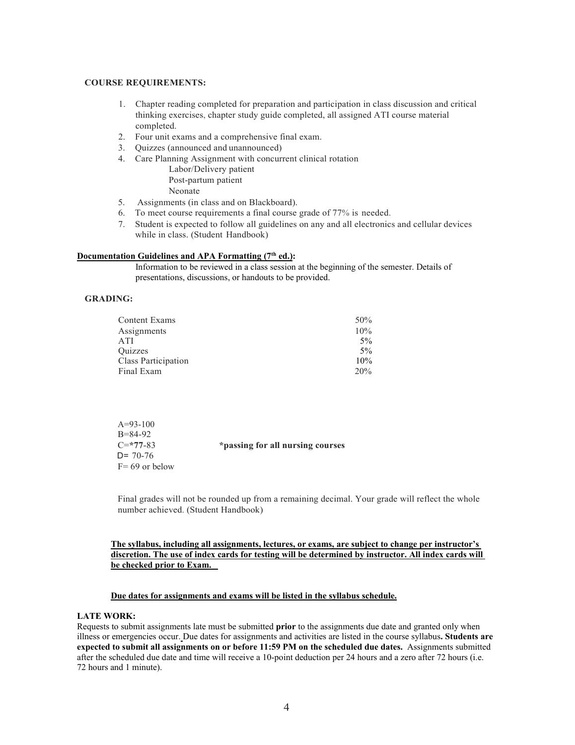#### **COURSE REQUIREMENTS:**

- 1. Chapter reading completed for preparation and participation in class discussion and critical thinking exercises, chapter study guide completed, all assigned ATI course material completed.
- 2. Four unit exams and a comprehensive final exam.
- 3. Quizzes (announced and unannounced)
- 4. Care Planning Assignment with concurrent clinical rotation

Labor/Delivery patient Post-partum patient Neonate

- 5. Assignments (in class and on Blackboard).
- 6. To meet course requirements a final course grade of 77% is needed.
- 7. Student is expected to follow all guidelines on any and all electronics and cellular devices while in class. (Student Handbook)

#### **Documentation Guidelines and APA Formatting (7th ed.):**

Information to be reviewed in a class session at the beginning of the semester. Details of presentations, discussions, or handouts to be provided.

# **GRADING:**

| <b>Content Exams</b> | 50%   |
|----------------------|-------|
| Assignments          | 10%   |
| ATI                  | $5\%$ |
| Ouizzes              | $5\%$ |
| Class Participation  | 10%   |
| Final Exam           | 20%   |

| $A=93-100$        |                                  |
|-------------------|----------------------------------|
| $B = 84-92$       |                                  |
| $C = 77-83$       | *passing for all nursing courses |
| $D = 70-76$       |                                  |
| $F = 69$ or below |                                  |

Final grades will not be rounded up from a remaining decimal. Your grade will reflect the whole number achieved. (Student Handbook)

### **The syllabus, including all assignments, lectures, or exams, are subject to change per instructor's discretion. The use of index cards for testing will be determined by instructor. All index cards will be checked prior to Exam.**

#### **Due dates for assignments and exams will be listed in the syllabus schedule.**

#### **LATE WORK:**

Requests to submit assignments late must be submitted **prior** to the assignments due date and granted only when illness or emergencies occur. Due dates for assignments and activities are listed in the course syllabus**. Students are expected to submit all assignments on or before 11:59 PM on the scheduled due dates.** Assignments submitted after the scheduled due date and time will receive a 10-point deduction per 24 hours and a zero after 72 hours (i.e. 72 hours and 1 minute).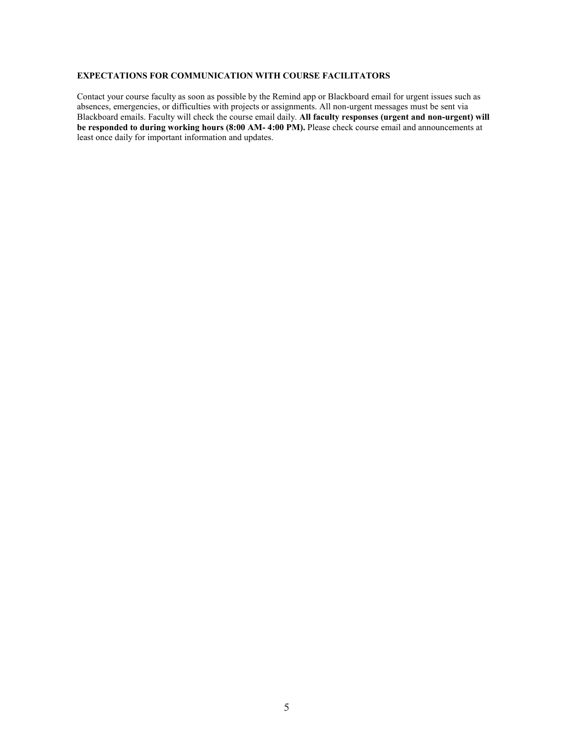# **EXPECTATIONS FOR COMMUNICATION WITH COURSE FACILITATORS**

Contact your course faculty as soon as possible by the Remind app or Blackboard email for urgent issues such as absences, emergencies, or difficulties with projects or assignments. All non-urgent messages must be sent via Blackboard emails. Faculty will check the course email daily. **All faculty responses (urgent and non-urgent) will be responded to during working hours (8:00 AM- 4:00 PM).** Please check course email and announcements at least once daily for important information and updates.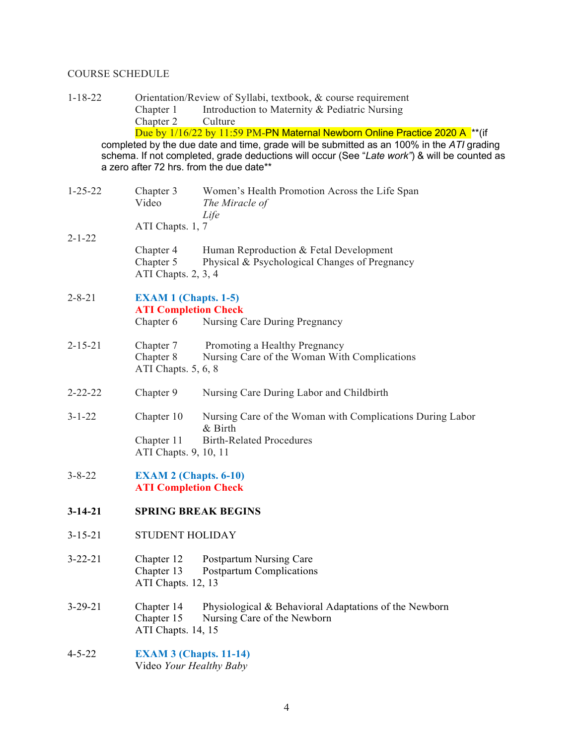# COURSE SCHEDULE

| $1 - 18 - 22$ |                                                             | Orientation/Review of Syllabi, textbook, & course requirement                                                                                                                                                                                                                                                                      |  |  |
|---------------|-------------------------------------------------------------|------------------------------------------------------------------------------------------------------------------------------------------------------------------------------------------------------------------------------------------------------------------------------------------------------------------------------------|--|--|
|               | Chapter 1                                                   | Introduction to Maternity & Pediatric Nursing                                                                                                                                                                                                                                                                                      |  |  |
|               | Chapter 2                                                   | Culture                                                                                                                                                                                                                                                                                                                            |  |  |
|               |                                                             | Due by 1/16/22 by 11:59 PM-PN Maternal Newborn Online Practice 2020 A <sup>**</sup> (if<br>completed by the due date and time, grade will be submitted as an 100% in the $ATI$ grading<br>schema. If not completed, grade deductions will occur (See "Late work") & will be counted as<br>a zero after 72 hrs. from the due date** |  |  |
| $1 - 25 - 22$ | Chapter 3<br>Video                                          | Women's Health Promotion Across the Life Span<br>The Miracle of<br>Life                                                                                                                                                                                                                                                            |  |  |
| $2 - 1 - 22$  | ATI Chapts. 1, 7                                            |                                                                                                                                                                                                                                                                                                                                    |  |  |
|               | Chapter 4<br>Chapter 5<br>ATI Chapts. 2, 3, 4               | Human Reproduction & Fetal Development<br>Physical & Psychological Changes of Pregnancy                                                                                                                                                                                                                                            |  |  |
| $2 - 8 - 21$  | <b>EXAM 1 (Chapts. 1-5)</b><br><b>ATI Completion Check</b>  |                                                                                                                                                                                                                                                                                                                                    |  |  |
|               | Chapter 6                                                   | Nursing Care During Pregnancy                                                                                                                                                                                                                                                                                                      |  |  |
| $2 - 15 - 21$ | Chapter 7<br>Chapter 8<br>ATI Chapts. 5, 6, 8               | Promoting a Healthy Pregnancy<br>Nursing Care of the Woman With Complications                                                                                                                                                                                                                                                      |  |  |
| $2 - 22 - 22$ | Chapter 9                                                   | Nursing Care During Labor and Childbirth                                                                                                                                                                                                                                                                                           |  |  |
| $3 - 1 - 22$  | Chapter 10<br>Chapter 11<br>ATI Chapts. 9, 10, 11           | Nursing Care of the Woman with Complications During Labor<br>& Birth<br><b>Birth-Related Procedures</b>                                                                                                                                                                                                                            |  |  |
| $3 - 8 - 22$  | <b>EXAM 2 (Chapts. 6-10)</b><br><b>ATI Completion Check</b> |                                                                                                                                                                                                                                                                                                                                    |  |  |
| $3 - 14 - 21$ | <b>SPRING BREAK BEGINS</b>                                  |                                                                                                                                                                                                                                                                                                                                    |  |  |
| $3 - 15 - 21$ | <b>STUDENT HOLIDAY</b>                                      |                                                                                                                                                                                                                                                                                                                                    |  |  |
| $3 - 22 - 21$ | Chapter 12<br>Chapter 13<br>ATI Chapts. 12, 13              | Postpartum Nursing Care<br><b>Postpartum Complications</b>                                                                                                                                                                                                                                                                         |  |  |
| $3 - 29 - 21$ | Chapter 14<br>Chapter 15<br>ATI Chapts. 14, 15              | Physiological & Behavioral Adaptations of the Newborn<br>Nursing Care of the Newborn                                                                                                                                                                                                                                               |  |  |
| $4 - 5 - 22$  | <b>EXAM 3 (Chapts. 11-14)</b><br>Video Your Healthy Baby    |                                                                                                                                                                                                                                                                                                                                    |  |  |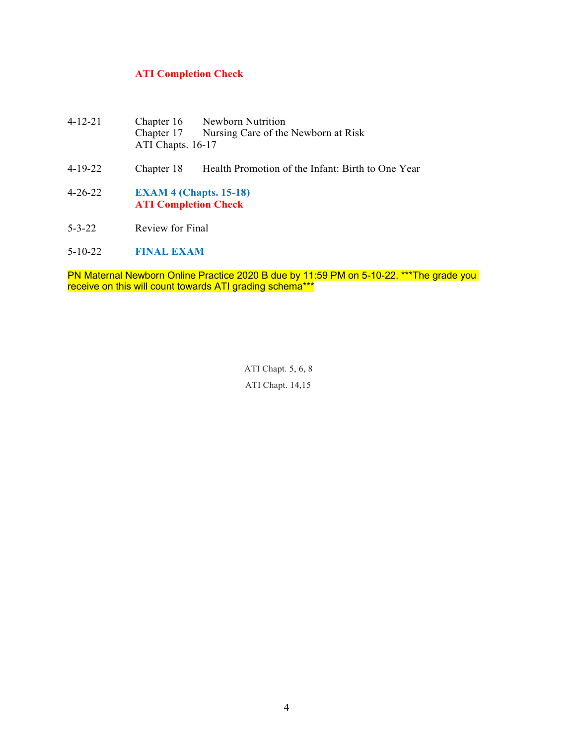# **ATI Completion Check**

- 4-12-21 Chapter 16 Newborn Nutrition<br>Chapter 17 Nursing Care of the Nursing Care of the Newborn at Risk ATI Chapts. 16-17
- 4-19-22 Chapter 18 Health Promotion of the Infant: Birth to One Year
- 4-26-22 **EXAM 4 (Chapts. 15-18) ATI Completion Check**
- 5-3-22 Review for Final
- 5-10-22 **FINAL EXAM**

PN Maternal Newborn Online Practice 2020 B due by 11:59 PM on 5-10-22. \*\*\*The grade you receive on this will count towards ATI grading schema\*\*\*

> ATI Chapt. 5, 6, 8 ATI Chapt. 14,15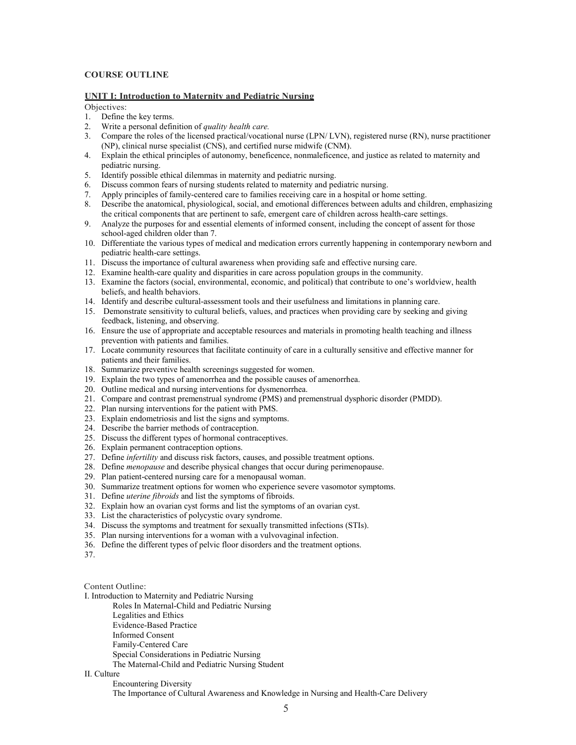# **COURSE OUTLINE**

#### **UNIT I: Introduction to Maternity and Pediatric Nursing**

Objectives:

- 1. Define the key terms.
- 2. Write a personal definition of *quality health care.*
- 3. Compare the roles of the licensed practical/vocational nurse (LPN/ LVN), registered nurse (RN), nurse practitioner (NP), clinical nurse specialist (CNS), and certified nurse midwife (CNM).
- 4. Explain the ethical principles of autonomy, beneficence, nonmaleficence, and justice as related to maternity and pediatric nursing.
- 5. Identify possible ethical dilemmas in maternity and pediatric nursing.
- 6. Discuss common fears of nursing students related to maternity and pediatric nursing.
- 7. Apply principles of family-centered care to families receiving care in a hospital or home setting.
- 8. Describe the anatomical, physiological, social, and emotional differences between adults and children, emphasizing the critical components that are pertinent to safe, emergent care of children across health-care settings.
- 9. Analyze the purposes for and essential elements of informed consent, including the concept of assent for those school-aged children older than 7.
- 10. Differentiate the various types of medical and medication errors currently happening in contemporary newborn and pediatric health-care settings.
- 11. Discuss the importance of cultural awareness when providing safe and effective nursing care.
- 12. Examine health-care quality and disparities in care across population groups in the community.
- 13. Examine the factors (social, environmental, economic, and political) that contribute to one's worldview, health beliefs, and health behaviors.
- 14. Identify and describe cultural-assessment tools and their usefulness and limitations in planning care.
- 15. Demonstrate sensitivity to cultural beliefs, values, and practices when providing care by seeking and giving feedback, listening, and observing.
- 16. Ensure the use of appropriate and acceptable resources and materials in promoting health teaching and illness prevention with patients and families.
- 17. Locate community resources that facilitate continuity of care in a culturally sensitive and effective manner for patients and their families.
- 18. Summarize preventive health screenings suggested for women.
- 19. Explain the two types of amenorrhea and the possible causes of amenorrhea.
- 20. Outline medical and nursing interventions for dysmenorrhea.
- 21. Compare and contrast premenstrual syndrome (PMS) and premenstrual dysphoric disorder (PMDD).
- 22. Plan nursing interventions for the patient with PMS.
- 23. Explain endometriosis and list the signs and symptoms.
- 24. Describe the barrier methods of contraception.
- 25. Discuss the different types of hormonal contraceptives.
- 26. Explain permanent contraception options.
- 27. Define *infertility* and discuss risk factors, causes, and possible treatment options.
- 28. Define *menopause* and describe physical changes that occur during perimenopause.
- 29. Plan patient-centered nursing care for a menopausal woman.
- 30. Summarize treatment options for women who experience severe vasomotor symptoms.
- 31. Define *uterine fibroids* and list the symptoms of fibroids.
- 32. Explain how an ovarian cyst forms and list the symptoms of an ovarian cyst.
- 33. List the characteristics of polycystic ovary syndrome.
- 34. Discuss the symptoms and treatment for sexually transmitted infections (STIs).
- 35. Plan nursing interventions for a woman with a vulvovaginal infection.
- 36. Define the different types of pelvic floor disorders and the treatment options.

37.

Content Outline:

- [I. Introduction to Maternity and Pediatric Nursing](https://jigsaw.vitalsource.com/books/9781719645263/epub/OPS/c01.xhtml)
	- [Roles In Maternal-Child and Pediatric Nursing](https://jigsaw.vitalsource.com/books/9781719645263/epub/OPS/c01.xhtml#sec-1)
	- [Legalities and Ethics](https://jigsaw.vitalsource.com/books/9781719645263/epub/OPS/c01.xhtml#sec-2)
	- [Evidence-Based Practice](https://jigsaw.vitalsource.com/books/9781719645263/epub/OPS/c01.xhtml#sec-3)
	- [Informed Consent](https://jigsaw.vitalsource.com/books/9781719645263/epub/OPS/c01.xhtml#sec-4)
	- [Family-Centered Care](https://jigsaw.vitalsource.com/books/9781719645263/epub/OPS/c01.xhtml#sec-5)
	- [Special Considerations in Pediatric Nursing](https://jigsaw.vitalsource.com/books/9781719645263/epub/OPS/c01.xhtml#sec-6)
	- [The Maternal-Child and Pediatric Nursing Student](https://jigsaw.vitalsource.com/books/9781719645263/epub/OPS/c01.xhtml#sec-7)

# [II. Culture](https://jigsaw.vitalsource.com/books/9781719645263/epub/OPS/c02.xhtml)

[Encountering Diversity](https://jigsaw.vitalsource.com/books/9781719645263/epub/OPS/c02.xhtml#sec-8)

[The Importance of Cultural Awareness and Knowledge in Nursing and Health-Care Delivery](https://jigsaw.vitalsource.com/books/9781719645263/epub/OPS/c02.xhtml#sec-9)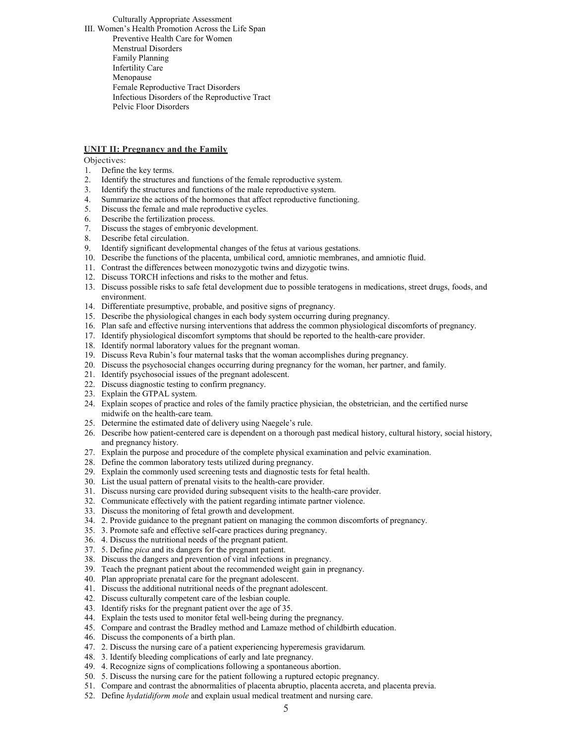[Culturally Appropriate Assessment](https://jigsaw.vitalsource.com/books/9781719645263/epub/OPS/c02.xhtml#sec-10) [III. Women's Health Promotion Across the Life Span](https://jigsaw.vitalsource.com/books/9781719645263/epub/OPS/c03.xhtml) [Preventive Health Care for Women](https://jigsaw.vitalsource.com/books/9781719645263/epub/OPS/c03.xhtml#sec-11) [Menstrual Disorders](https://jigsaw.vitalsource.com/books/9781719645263/epub/OPS/c03.xhtml#sec-12) [Family Planning](https://jigsaw.vitalsource.com/books/9781719645263/epub/OPS/c03.xhtml#sec-13) [Infertility Care](https://jigsaw.vitalsource.com/books/9781719645263/epub/OPS/c03.xhtml#sec-14) [Menopause](https://jigsaw.vitalsource.com/books/9781719645263/epub/OPS/c03.xhtml#sec-15) [Female Reproductive Tract Disorders](https://jigsaw.vitalsource.com/books/9781719645263/epub/OPS/c03.xhtml#sec-16) [Infectious Disorders of the Reproductive Tract](https://jigsaw.vitalsource.com/books/9781719645263/epub/OPS/c03.xhtml#sec-17) [Pelvic Floor Disorders](https://jigsaw.vitalsource.com/books/9781719645263/epub/OPS/c03.xhtml#sec-18)

#### **UNIT II: Pregnancy and the Family**

Objectives:

- 1. Define the key terms.
- 2. Identify the structures and functions of the female reproductive system.
- 3. Identify the structures and functions of the male reproductive system.
- 4. Summarize the actions of the hormones that affect reproductive functioning.
- 5. Discuss the female and male reproductive cycles.
- 6. Describe the fertilization process.
- 7. Discuss the stages of embryonic development.
- 8. Describe fetal circulation.
- 9. Identify significant developmental changes of the fetus at various gestations.
- 10. Describe the functions of the placenta, umbilical cord, amniotic membranes, and amniotic fluid.
- 11. Contrast the differences between monozygotic twins and dizygotic twins.
- 12. Discuss TORCH infections and risks to the mother and fetus.
- 13. Discuss possible risks to safe fetal development due to possible teratogens in medications, street drugs, foods, and environment.
- 14. Differentiate presumptive, probable, and positive signs of pregnancy.
- 15. Describe the physiological changes in each body system occurring during pregnancy.
- 16. Plan safe and effective nursing interventions that address the common physiological discomforts of pregnancy.
- 17. Identify physiological discomfort symptoms that should be reported to the health-care provider.
- 18. Identify normal laboratory values for the pregnant woman.
- 19. Discuss Reva Rubin's four maternal tasks that the woman accomplishes during pregnancy.
- 20. Discuss the psychosocial changes occurring during pregnancy for the woman, her partner, and family.
- 21. Identify psychosocial issues of the pregnant adolescent.
- 22. Discuss diagnostic testing to confirm pregnancy.
- 23. Explain the GTPAL system.
- 24. Explain scopes of practice and roles of the family practice physician, the obstetrician, and the certified nurse midwife on the health-care team.
- 25. Determine the estimated date of delivery using Naegele's rule.
- 26. Describe how patient-centered care is dependent on a thorough past medical history, cultural history, social history, and pregnancy history.
- 27. Explain the purpose and procedure of the complete physical examination and pelvic examination.
- 28. Define the common laboratory tests utilized during pregnancy.
- 29. Explain the commonly used screening tests and diagnostic tests for fetal health.
- 30. List the usual pattern of prenatal visits to the health-care provider.
- 31. Discuss nursing care provided during subsequent visits to the health-care provider.
- 32. Communicate effectively with the patient regarding intimate partner violence.
- 33. Discuss the monitoring of fetal growth and development.
- 34. 2. Provide guidance to the pregnant patient on managing the common discomforts of pregnancy.
- 35. 3. Promote safe and effective self-care practices during pregnancy.
- 36. 4. Discuss the nutritional needs of the pregnant patient.
- 37. 5. Define *pica* and its dangers for the pregnant patient.
- 38. Discuss the dangers and prevention of viral infections in pregnancy.
- 39. Teach the pregnant patient about the recommended weight gain in pregnancy.
- 40. Plan appropriate prenatal care for the pregnant adolescent.
- 41. Discuss the additional nutritional needs of the pregnant adolescent.
- 42. Discuss culturally competent care of the lesbian couple.
- 43. Identify risks for the pregnant patient over the age of 35.
- 44. Explain the tests used to monitor fetal well-being during the pregnancy.
- 45. Compare and contrast the Bradley method and Lamaze method of childbirth education.
- 46. Discuss the components of a birth plan.
- 47. 2. Discuss the nursing care of a patient experiencing hyperemesis gravidarum.
- 48. 3. Identify bleeding complications of early and late pregnancy.
- 49. 4. Recognize signs of complications following a spontaneous abortion.
- 50. 5. Discuss the nursing care for the patient following a ruptured ectopic pregnancy.
- 51. Compare and contrast the abnormalities of placenta abruptio, placenta accreta, and placenta previa.
- 52. Define *hydatidiform mole* and explain usual medical treatment and nursing care.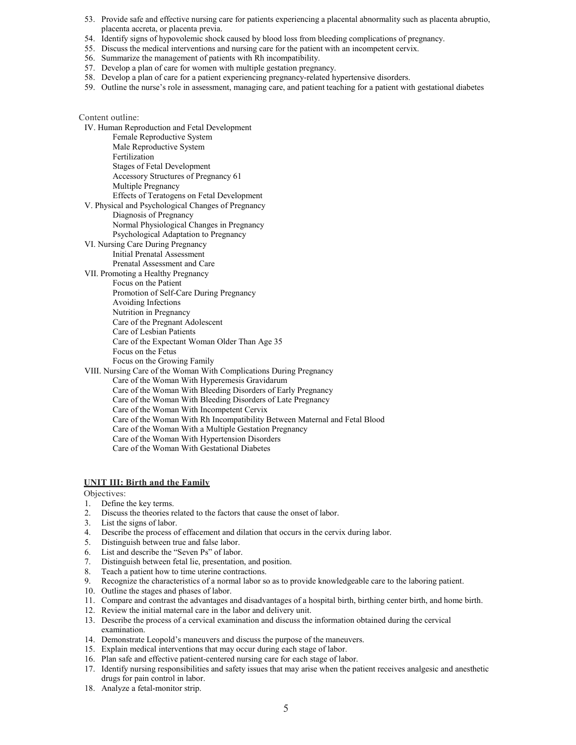- 53. Provide safe and effective nursing care for patients experiencing a placental abnormality such as placenta abruptio, placenta accreta, or placenta previa.
- 54. Identify signs of hypovolemic shock caused by blood loss from bleeding complications of pregnancy.
- 55. Discuss the medical interventions and nursing care for the patient with an incompetent cervix.
- 56. Summarize the management of patients with Rh incompatibility.
- 57. Develop a plan of care for women with multiple gestation pregnancy.
- 58. Develop a plan of care for a patient experiencing pregnancy-related hypertensive disorders.
- 59. Outline the nurse's role in assessment, managing care, and patient teaching for a patient with gestational diabetes

#### Content outline:

IV. [Human Reproduction and Fetal Development](https://jigsaw.vitalsource.com/books/9781719645263/epub/OPS/c04.xhtml) [Female Reproductive System](https://jigsaw.vitalsource.com/books/9781719645263/epub/OPS/c04.xhtml#sec-19) [Male Reproductive System](https://jigsaw.vitalsource.com/books/9781719645263/epub/OPS/c04.xhtml#sec-20) [Fertilization](https://jigsaw.vitalsource.com/books/9781719645263/epub/OPS/c04.xhtml#sec-21) [Stages of Fetal Development](https://jigsaw.vitalsource.com/books/9781719645263/epub/OPS/c04.xhtml#sec-22) [Accessory Structures of Pregnancy 61](https://jigsaw.vitalsource.com/books/9781719645263/epub/OPS/c04.xhtml#sec-23) [Multiple Pregnancy](https://jigsaw.vitalsource.com/books/9781719645263/epub/OPS/c04.xhtml#sec-24) [Effects of Teratogens on Fetal Development](https://jigsaw.vitalsource.com/books/9781719645263/epub/OPS/c04.xhtml#sec-25) V. [Physical and Psychological Changes of Pregnancy](https://jigsaw.vitalsource.com/books/9781719645263/epub/OPS/c05.xhtml) [Diagnosis of Pregnancy](https://jigsaw.vitalsource.com/books/9781719645263/epub/OPS/c05.xhtml#sec-26) [Normal Physiological Changes in Pregnancy](https://jigsaw.vitalsource.com/books/9781719645263/epub/OPS/c05.xhtml#sec-27) [Psychological Adaptation to Pregnancy](https://jigsaw.vitalsource.com/books/9781719645263/epub/OPS/c05.xhtml#sec-28) VI. [Nursing Care During Pregnancy](https://jigsaw.vitalsource.com/books/9781719645263/epub/OPS/c06.xhtml) [Initial Prenatal](https://jigsaw.vitalsource.com/books/9781719645263/epub/OPS/c06.xhtml#sec-29) Assessment [Prenatal Assessment and Care](https://jigsaw.vitalsource.com/books/9781719645263/epub/OPS/c06.xhtml#sec-30) VII. [Promoting a Healthy Pregnancy](https://jigsaw.vitalsource.com/books/9781719645263/epub/OPS/c07.xhtml) [Focus on the Patient](https://jigsaw.vitalsource.com/books/9781719645263/epub/OPS/c07.xhtml#sec-31) [Promotion of Self-Care During Pregnancy](https://jigsaw.vitalsource.com/books/9781719645263/epub/OPS/c07.xhtml#sec-32) [Avoiding Infections](https://jigsaw.vitalsource.com/books/9781719645263/epub/OPS/c07.xhtml#sec-33) [Nutrition in Pregnancy](https://jigsaw.vitalsource.com/books/9781719645263/epub/OPS/c07.xhtml#sec-34) [Care of the Pregnant Adolescent](https://jigsaw.vitalsource.com/books/9781719645263/epub/OPS/c07.xhtml#sec-35) [Care of Lesbian Patients](https://jigsaw.vitalsource.com/books/9781719645263/epub/OPS/c07.xhtml#sec-36) [Care of the Expectant Woman Older Than Age 35](https://jigsaw.vitalsource.com/books/9781719645263/epub/OPS/c07.xhtml#sec-37) [Focus on the Fetus](https://jigsaw.vitalsource.com/books/9781719645263/epub/OPS/c07.xhtml#sec-38) [Focus on the Growing Family](https://jigsaw.vitalsource.com/books/9781719645263/epub/OPS/c07.xhtml#sec-39) VIII. [Nursing Care of the Woman With Complications During Pregnancy](https://jigsaw.vitalsource.com/books/9781719645263/epub/OPS/c08.xhtml) [Care of the Woman With Hyperemesis Gravidarum](https://jigsaw.vitalsource.com/books/9781719645263/epub/OPS/c08.xhtml#sec-40) [Care of the Woman With Bleeding Disorders of Early Pregnancy](https://jigsaw.vitalsource.com/books/9781719645263/epub/OPS/c08.xhtml#sec-41) [Care of the Woman With Bleeding Disorders of Late Pregnancy](https://jigsaw.vitalsource.com/books/9781719645263/epub/OPS/c08.xhtml#sec-42) [Care of the Woman With Incompetent Cervix](https://jigsaw.vitalsource.com/books/9781719645263/epub/OPS/c08.xhtml#sec-43) [Care of the Woman With Rh Incompatibility Between Maternal and Fetal Blood](https://jigsaw.vitalsource.com/books/9781719645263/epub/OPS/c08.xhtml#sec-44)

- [Care of the Woman With a Multiple Gestation Pregnancy](https://jigsaw.vitalsource.com/books/9781719645263/epub/OPS/c08.xhtml#sec-45)
- [Care of the Woman With Hypertension Disorders](https://jigsaw.vitalsource.com/books/9781719645263/epub/OPS/c08.xhtml#sec-46) [Care of the Woman With Gestational Diabetes](https://jigsaw.vitalsource.com/books/9781719645263/epub/OPS/c08.xhtml#sec-47)

#### **UNIT III: Birth and the Family**

Objectives:

- 1. Define the key terms.
- 2. Discuss the theories related to the factors that cause the onset of labor.
- 3. List the signs of labor.
- 4. Describe the process of effacement and dilation that occurs in the cervix during labor.
- 5. Distinguish between true and false labor.
- 6. List and describe the "Seven Ps" of labor.
- 7. Distinguish between fetal lie, presentation, and position.
- 8. Teach a patient how to time uterine contractions.
- 9. Recognize the characteristics of a normal labor so as to provide knowledgeable care to the laboring patient.
- 10. Outline the stages and phases of labor.
- 11. Compare and contrast the advantages and disadvantages of a hospital birth, birthing center birth, and home birth.
- 12. Review the initial maternal care in the labor and delivery unit.
- 13. Describe the process of a cervical examination and discuss the information obtained during the cervical examination.
- 14. Demonstrate Leopold's maneuvers and discuss the purpose of the maneuvers.
- 15. Explain medical interventions that may occur during each stage of labor.
- 16. Plan safe and effective patient-centered nursing care for each stage of labor.
- 17. Identify nursing responsibilities and safety issues that may arise when the patient receives analgesic and anesthetic drugs for pain control in labor.
- 18. Analyze a fetal-monitor strip.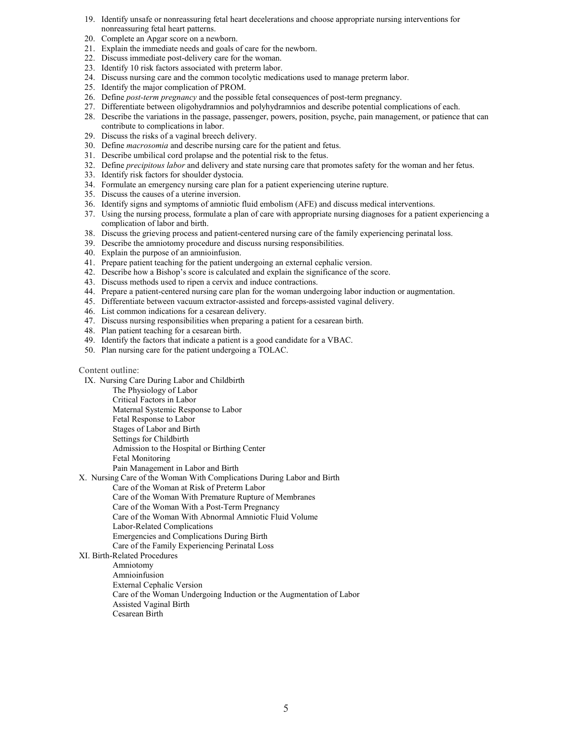- 19. Identify unsafe or nonreassuring fetal heart decelerations and choose appropriate nursing interventions for nonreassuring fetal heart patterns.
- 20. Complete an Apgar score on a newborn.
- 21. Explain the immediate needs and goals of care for the newborn.
- 22. Discuss immediate post-delivery care for the woman.
- 23. Identify 10 risk factors associated with preterm labor.
- 24. Discuss nursing care and the common tocolytic medications used to manage preterm labor.
- 25. Identify the major complication of PROM.
- 26. Define *post-term pregnancy* and the possible fetal consequences of post-term pregnancy.
- 27. Differentiate between oligohydramnios and polyhydramnios and describe potential complications of each.
- 28. Describe the variations in the passage, passenger, powers, position, psyche, pain management, or patience that can contribute to complications in labor.
- 29. Discuss the risks of a vaginal breech delivery.
- 30. Define *macrosomia* and describe nursing care for the patient and fetus.
- 31. Describe umbilical cord prolapse and the potential risk to the fetus.
- 32. Define *precipitous labor* and delivery and state nursing care that promotes safety for the woman and her fetus.
- 33. Identify risk factors for shoulder dystocia.
- 34. Formulate an emergency nursing care plan for a patient experiencing uterine rupture.
- 35. Discuss the causes of a uterine inversion.
- 36. Identify signs and symptoms of amniotic fluid embolism (AFE) and discuss medical interventions.
- 37. Using the nursing process, formulate a plan of care with appropriate nursing diagnoses for a patient experiencing a complication of labor and birth.
- 38. Discuss the grieving process and patient-centered nursing care of the family experiencing perinatal loss.
- 39. Describe the amniotomy procedure and discuss nursing responsibilities.
- 40. Explain the purpose of an amnioinfusion.
- 41. Prepare patient teaching for the patient undergoing an external cephalic version.
- 42. Describe how a Bishop's score is calculated and explain the significance of the score.
- 43. Discuss methods used to ripen a cervix and induce contractions.
- 44. Prepare a patient-centered nursing care plan for the woman undergoing labor induction or augmentation.
- 45. Differentiate between vacuum extractor-assisted and forceps-assisted vaginal delivery.
- 46. List common indications for a cesarean delivery.
- 47. Discuss nursing responsibilities when preparing a patient for a cesarean birth.
- 48. Plan patient teaching for a cesarean birth.
- 49. Identify the factors that indicate a patient is a good candidate for a VBAC.
- 50. Plan nursing care for the patient undergoing a TOLAC.

#### Content outline:

- [IX. Nursing Care During Labor and Childbirth](https://jigsaw.vitalsource.com/books/9781719645263/epub/OPS/c09.xhtml)
	- [The Physiology of Labor](https://jigsaw.vitalsource.com/books/9781719645263/epub/OPS/c09.xhtml#sec-48)
	- [Critical Factors in Labor](https://jigsaw.vitalsource.com/books/9781719645263/epub/OPS/c09.xhtml#sec-49)
	- [Maternal Systemic Response to Labor](https://jigsaw.vitalsource.com/books/9781719645263/epub/OPS/c09.xhtml#sec-50)
	- [Fetal Response to Labor](https://jigsaw.vitalsource.com/books/9781719645263/epub/OPS/c09.xhtml#sec-51)
	- [Stages of Labor and Birth](https://jigsaw.vitalsource.com/books/9781719645263/epub/OPS/c09.xhtml#sec-52)
	- [Settings for Childbirth](https://jigsaw.vitalsource.com/books/9781719645263/epub/OPS/c09.xhtml#sec-53)
	- [Admission to the Hospital or Birthing Center](https://jigsaw.vitalsource.com/books/9781719645263/epub/OPS/c09.xhtml#sec-54)
		- [Fetal Monitoring](https://jigsaw.vitalsource.com/books/9781719645263/epub/OPS/c09.xhtml#sec-55)
- [Pain Management in Labor and Birth](https://jigsaw.vitalsource.com/books/9781719645263/epub/OPS/c09.xhtml#sec-56)
- [X. Nursing Care of the Woman With Complications During Labor and Birth](https://jigsaw.vitalsource.com/books/9781719645263/epub/OPS/c10.xhtml)
	- [Care of the Woman at Risk of Preterm Labor](https://jigsaw.vitalsource.com/books/9781719645263/epub/OPS/c10.xhtml#sec-57)
	- [Care of the Woman With Premature Rupture of Membranes](https://jigsaw.vitalsource.com/books/9781719645263/epub/OPS/c10.xhtml#sec-58)
	- [Care of the Woman With a Post-Term Pregnancy](https://jigsaw.vitalsource.com/books/9781719645263/epub/OPS/c10.xhtml#sec-59)
	- [Care of the Woman With Abnormal Amniotic Fluid Volume](https://jigsaw.vitalsource.com/books/9781719645263/epub/OPS/c10.xhtml#sec-60)
	- [Labor-Related Complications](https://jigsaw.vitalsource.com/books/9781719645263/epub/OPS/c10.xhtml#sec-61)
		- [Emergencies and Complications During Birth](https://jigsaw.vitalsource.com/books/9781719645263/epub/OPS/c10.xhtml#sec-62)
		- [Care of the Family Experiencing Perinatal Loss](https://jigsaw.vitalsource.com/books/9781719645263/epub/OPS/c10.xhtml#sec-63)
- XI. [Birth-Related Procedures](https://jigsaw.vitalsource.com/books/9781719645263/epub/OPS/c11.xhtml)
	- [Amniotomy](https://jigsaw.vitalsource.com/books/9781719645263/epub/OPS/c11.xhtml#sec-64)
	- [Amnioinfusion](https://jigsaw.vitalsource.com/books/9781719645263/epub/OPS/c11.xhtml#sec-65)
	- [External Cephalic Version](https://jigsaw.vitalsource.com/books/9781719645263/epub/OPS/c11.xhtml#sec-66)
	- [Care of the Woman Undergoing Induction or the Augmentation of Labor](https://jigsaw.vitalsource.com/books/9781719645263/epub/OPS/c11.xhtml#sec-67)
	- [Assisted Vaginal Birth](https://jigsaw.vitalsource.com/books/9781719645263/epub/OPS/c11.xhtml#sec-68)
	- [Cesarean Birth](https://jigsaw.vitalsource.com/books/9781719645263/epub/OPS/c11.xhtml#sec-69)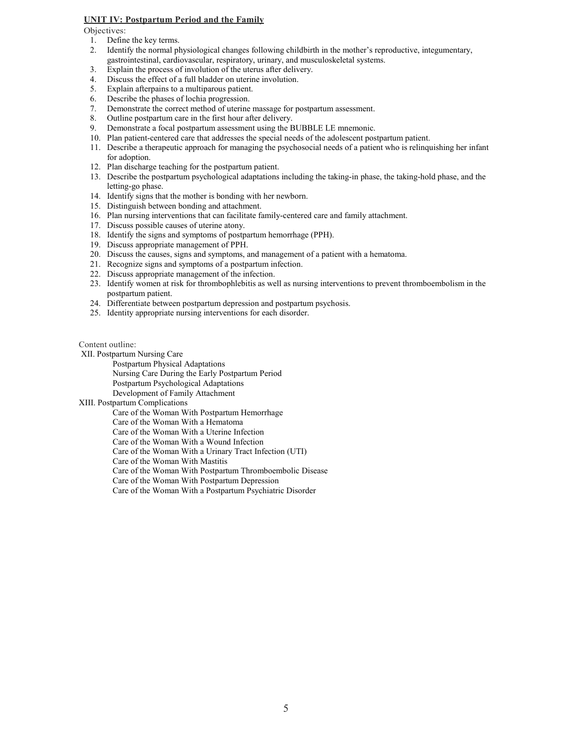### **UNIT IV: Postpartum Period and the Family**

Objectives:

- 1. Define the key terms.
- 2. Identify the normal physiological changes following childbirth in the mother's reproductive, integumentary, gastrointestinal, cardiovascular, respiratory, urinary, and musculoskeletal systems.
- 3. Explain the process of involution of the uterus after delivery.
- 4. Discuss the effect of a full bladder on uterine involution.
- 5. Explain afterpains to a multiparous patient.<br>6. Describe the phases of lochia progression.
- 6. Describe the phases of lochia progression.<br>7. Demonstrate the correct method of uterine
- 7. Demonstrate the correct method of uterine massage for postpartum assessment.<br>8. Outline postpartum care in the first hour after delivery.
- 8. Outline postpartum care in the first hour after delivery.<br>9. Demonstrate a focal postpartum assessment using the F
- Demonstrate a focal postpartum assessment using the BUBBLE LE mnemonic.
- 10. Plan patient-centered care that addresses the special needs of the adolescent postpartum patient.
- 11. Describe a therapeutic approach for managing the psychosocial needs of a patient who is relinquishing her infant for adoption.
- 12. Plan discharge teaching for the postpartum patient.
- 13. Describe the postpartum psychological adaptations including the taking-in phase, the taking-hold phase, and the letting-go phase.
- 14. Identify signs that the mother is bonding with her newborn.
- 15. Distinguish between bonding and attachment.
- 16. Plan nursing interventions that can facilitate family-centered care and family attachment.
- 17. Discuss possible causes of uterine atony.
- 18. Identify the signs and symptoms of postpartum hemorrhage (PPH).
- 19. Discuss appropriate management of PPH.
- 20. Discuss the causes, signs and symptoms, and management of a patient with a hematoma.
- 21. Recognize signs and symptoms of a postpartum infection.
- 22. Discuss appropriate management of the infection.
- 23. Identify women at risk for thrombophlebitis as well as nursing interventions to prevent thromboembolism in the postpartum patient.
- 24. Differentiate between postpartum depression and postpartum psychosis.
- 25. Identity appropriate nursing interventions for each disorder.

Content outline:

[XII. Postpartum Nursing Care](https://jigsaw.vitalsource.com/books/9781719645263/epub/OPS/c12.xhtml)

[Postpartum Physical Adaptations](https://jigsaw.vitalsource.com/books/9781719645263/epub/OPS/c12.xhtml#sec-70)

[Nursing Care During the Early Postpartum Period](https://jigsaw.vitalsource.com/books/9781719645263/epub/OPS/c12.xhtml#sec-71)

[Postpartum Psychological Adaptations](https://jigsaw.vitalsource.com/books/9781719645263/epub/OPS/c12.xhtml#sec-72) [Development of Family Attachment](https://jigsaw.vitalsource.com/books/9781719645263/epub/OPS/c12.xhtml#sec-73)

XIII. [Postpartum Complications](https://jigsaw.vitalsource.com/books/9781719645263/epub/OPS/c13.xhtml)

[Care of the Woman With Postpartum Hemorrhage](https://jigsaw.vitalsource.com/books/9781719645263/epub/OPS/c13.xhtml#sec-74)

[Care of the Woman With a Hematoma](https://jigsaw.vitalsource.com/books/9781719645263/epub/OPS/c13.xhtml#sec-75)

[Care of the Woman With a Uterine Infection](https://jigsaw.vitalsource.com/books/9781719645263/epub/OPS/c13.xhtml#sec-76)

[Care of the Woman With a Wound Infection](https://jigsaw.vitalsource.com/books/9781719645263/epub/OPS/c13.xhtml#sec-77)

[Care of the Woman With a Urinary Tract Infection \(UTI\)](https://jigsaw.vitalsource.com/books/9781719645263/epub/OPS/c13.xhtml#sec-78)

[Care of the Woman With Mastitis](https://jigsaw.vitalsource.com/books/9781719645263/epub/OPS/c13.xhtml#sec-79)

[Care of the Woman With Postpartum Thromboembolic Disease](https://jigsaw.vitalsource.com/books/9781719645263/epub/OPS/c13.xhtml#sec-80)

[Care of the Woman With Postpartum Depression](https://jigsaw.vitalsource.com/books/9781719645263/epub/OPS/c13.xhtml#sec-81)

[Care of the Woman With a Postpartum Psychiatric Disorder](https://jigsaw.vitalsource.com/books/9781719645263/epub/OPS/c13.xhtml#sec-82)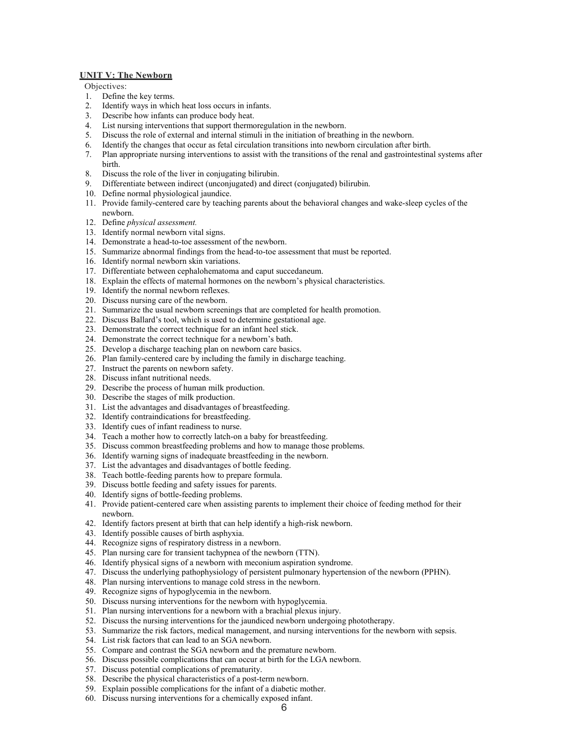#### **UNIT V: The Newborn**

Objectives:

- 1. Define the key terms.
- 2. Identify ways in which heat loss occurs in infants.
- 3. Describe how infants can produce body heat.
- 4. List nursing interventions that support thermoregulation in the newborn.
- 5. Discuss the role of external and internal stimuli in the initiation of breathing in the newborn.
- 6. Identify the changes that occur as fetal circulation transitions into newborn circulation after birth.
- 7. Plan appropriate nursing interventions to assist with the transitions of the renal and gastrointestinal systems after birth.
- 8. Discuss the role of the liver in conjugating bilirubin.
- 9. Differentiate between indirect (unconjugated) and direct (conjugated) bilirubin.
- 10. Define normal physiological jaundice.
- 11. Provide family-centered care by teaching parents about the behavioral changes and wake-sleep cycles of the newborn.
- 12. Define *physical assessment.*
- 13. Identify normal newborn vital signs.
- 14. Demonstrate a head-to-toe assessment of the newborn.
- 15. Summarize abnormal findings from the head-to-toe assessment that must be reported.
- 16. Identify normal newborn skin variations.
- 17. Differentiate between cephalohematoma and caput succedaneum.
- 18. Explain the effects of maternal hormones on the newborn's physical characteristics.
- 19. Identify the normal newborn reflexes.
- 20. Discuss nursing care of the newborn.
- 21. Summarize the usual newborn screenings that are completed for health promotion.
- 22. Discuss Ballard's tool, which is used to determine gestational age.
- 23. Demonstrate the correct technique for an infant heel stick.
- 24. Demonstrate the correct technique for a newborn's bath.
- 25. Develop a discharge teaching plan on newborn care basics.
- 26. Plan family-centered care by including the family in discharge teaching.
- 27. Instruct the parents on newborn safety.
- 28. Discuss infant nutritional needs.
- 29. Describe the process of human milk production.
- 30. Describe the stages of milk production.
- 31. List the advantages and disadvantages of breastfeeding.
- 32. Identify contraindications for breastfeeding.
- 33. Identify cues of infant readiness to nurse.
- 34. Teach a mother how to correctly latch-on a baby for breastfeeding.
- 35. Discuss common breastfeeding problems and how to manage those problems.
- 36. Identify warning signs of inadequate breastfeeding in the newborn.
- 37. List the advantages and disadvantages of bottle feeding.
- 38. Teach bottle-feeding parents how to prepare formula.
- 39. Discuss bottle feeding and safety issues for parents.
- 40. Identify signs of bottle-feeding problems.
- 41. Provide patient-centered care when assisting parents to implement their choice of feeding method for their newborn.
- 42. Identify factors present at birth that can help identify a high-risk newborn.
- 43. Identify possible causes of birth asphyxia.
- 44. Recognize signs of respiratory distress in a newborn.
- 45. Plan nursing care for transient tachypnea of the newborn (TTN).
- 46. Identify physical signs of a newborn with meconium aspiration syndrome.
- 47. Discuss the underlying pathophysiology of persistent pulmonary hypertension of the newborn (PPHN).
- 48. Plan nursing interventions to manage cold stress in the newborn.
- 49. Recognize signs of hypoglycemia in the newborn.
- 50. Discuss nursing interventions for the newborn with hypoglycemia.
- 51. Plan nursing interventions for a newborn with a brachial plexus injury.
- 52. Discuss the nursing interventions for the jaundiced newborn undergoing phototherapy.
- 53. Summarize the risk factors, medical management, and nursing interventions for the newborn with sepsis.
- 54. List risk factors that can lead to an SGA newborn.
- 55. Compare and contrast the SGA newborn and the premature newborn.
- 56. Discuss possible complications that can occur at birth for the LGA newborn.
- 57. Discuss potential complications of prematurity.
- 58. Describe the physical characteristics of a post-term newborn.
- 59. Explain possible complications for the infant of a diabetic mother.
- 60. Discuss nursing interventions for a chemically exposed infant.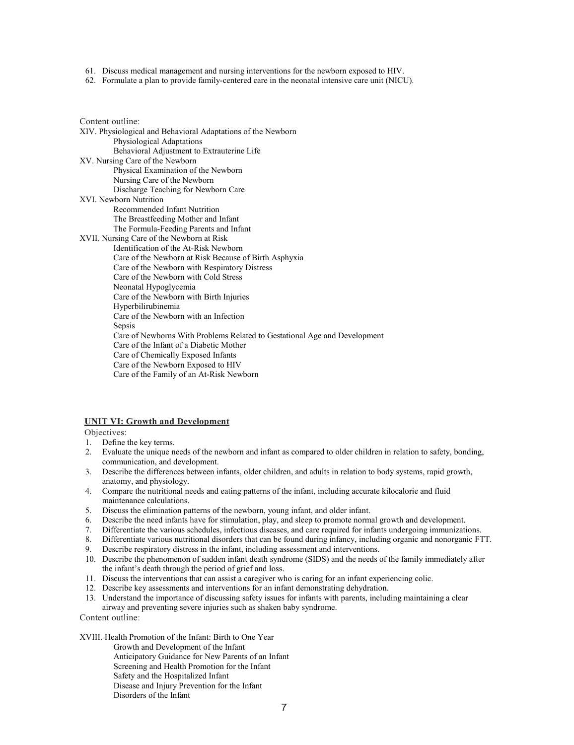61. Discuss medical management and nursing interventions for the newborn exposed to HIV.

62. Formulate a plan to provide family-centered care in the neonatal intensive care unit (NICU).

Content outline: XIV. [Physiological and Behavioral Adaptations of the Newborn](https://jigsaw.vitalsource.com/books/9781719645263/epub/OPS/c14.xhtml) [Physiological Adaptations](https://jigsaw.vitalsource.com/books/9781719645263/epub/OPS/c14.xhtml#sec-83) [Behavioral Adjustment to Extrauterine Life](https://jigsaw.vitalsource.com/books/9781719645263/epub/OPS/c14.xhtml#sec-84) [XV. Nursing Care of the Newborn](https://jigsaw.vitalsource.com/books/9781719645263/epub/OPS/c15.xhtml) [Physical Examination of the Newborn](https://jigsaw.vitalsource.com/books/9781719645263/epub/OPS/c15.xhtml#sec-85) [Nursing Care of the Newborn](https://jigsaw.vitalsource.com/books/9781719645263/epub/OPS/c15.xhtml#sec-86) [Discharge Teaching for Newborn Care](https://jigsaw.vitalsource.com/books/9781719645263/epub/OPS/c15.xhtml#sec-87) [XVI. Newborn Nutrition](https://jigsaw.vitalsource.com/books/9781719645263/epub/OPS/c16.xhtml) [Recommended Infant Nutrition](https://jigsaw.vitalsource.com/books/9781719645263/epub/OPS/c16.xhtml#sec-88) [The Breastfeeding Mother and Infant](https://jigsaw.vitalsource.com/books/9781719645263/epub/OPS/c16.xhtml#sec-89) [The Formula-Feeding Parents and Infant](https://jigsaw.vitalsource.com/books/9781719645263/epub/OPS/c16.xhtml#sec-90) XVII. [Nursing Care of the Newborn at Risk](https://jigsaw.vitalsource.com/books/9781719645263/epub/OPS/c17.xhtml) [Identification of the At-Risk Newborn](https://jigsaw.vitalsource.com/books/9781719645263/epub/OPS/c17.xhtml#sec-91) [Care of the Newborn at Risk Because of Birth Asphyxia](https://jigsaw.vitalsource.com/books/9781719645263/epub/OPS/c17.xhtml#sec-92) [Care of the Newborn with Respiratory Distress](https://jigsaw.vitalsource.com/books/9781719645263/epub/OPS/c17.xhtml#sec-93) [Care of the Newborn with Cold Stress](https://jigsaw.vitalsource.com/books/9781719645263/epub/OPS/c17.xhtml#sec-94) [Neonatal Hypoglycemia](https://jigsaw.vitalsource.com/books/9781719645263/epub/OPS/c17.xhtml#sec-95) [Care of the Newborn with Birth Injuries](https://jigsaw.vitalsource.com/books/9781719645263/epub/OPS/c17.xhtml#sec-96) [Hyperbilirubinemia](https://jigsaw.vitalsource.com/books/9781719645263/epub/OPS/c17.xhtml#sec-97) [Care of the Newborn with an Infection](https://jigsaw.vitalsource.com/books/9781719645263/epub/OPS/c17.xhtml#sec-98) [Sepsis](https://jigsaw.vitalsource.com/books/9781719645263/epub/OPS/c17.xhtml#sec-99) [Care of Newborns With Problems Related to Gestational Age and Development](https://jigsaw.vitalsource.com/books/9781719645263/epub/OPS/c17.xhtml#sec-100) [Care of the Infant of a Diabetic Mother](https://jigsaw.vitalsource.com/books/9781719645263/epub/OPS/c17.xhtml#sec-101) [Care of Chemically Exposed Infants](https://jigsaw.vitalsource.com/books/9781719645263/epub/OPS/c17.xhtml#sec-102) [Care of the Newborn Exposed to HIV](https://jigsaw.vitalsource.com/books/9781719645263/epub/OPS/c17.xhtml#sec-103) [Care of the Family of an At-Risk Newborn](https://jigsaw.vitalsource.com/books/9781719645263/epub/OPS/c17.xhtml#sec-104)

#### **UNIT VI: Growth and Development**

Objectives:

- 1. Define the key terms.
- 2. Evaluate the unique needs of the newborn and infant as compared to older children in relation to safety, bonding, communication, and development.
- 3. Describe the differences between infants, older children, and adults in relation to body systems, rapid growth, anatomy, and physiology.
- 4. Compare the nutritional needs and eating patterns of the infant, including accurate kilocalorie and fluid maintenance calculations.
- 5. Discuss the elimination patterns of the newborn, young infant, and older infant.
- 6. Describe the need infants have for stimulation, play, and sleep to promote normal growth and development.
- 7. Differentiate the various schedules, infectious diseases, and care required for infants undergoing immunizations.
- 8. Differentiate various nutritional disorders that can be found during infancy, including organic and nonorganic FTT.
- 9. Describe respiratory distress in the infant, including assessment and interventions.
- 10. Describe the phenomenon of sudden infant death syndrome (SIDS) and the needs of the family immediately after the infant's death through the period of grief and loss.
- 11. Discuss the interventions that can assist a caregiver who is caring for an infant experiencing colic.
- 12. Describe key assessments and interventions for an infant demonstrating dehydration.
- 13. Understand the importance of discussing safety issues for infants with parents, including maintaining a clear airway and preventing severe injuries such as shaken baby syndrome.
- Content outline:

XVIII. [Health Promotion of the Infant: Birth to One Year](https://jigsaw.vitalsource.com/books/9781719645263/epub/OPS/c18.xhtml)

[Growth and Development of the Infant](https://jigsaw.vitalsource.com/books/9781719645263/epub/OPS/c18.xhtml#sec-105)

- [Anticipatory Guidance for New Parents of an Infant](https://jigsaw.vitalsource.com/books/9781719645263/epub/OPS/c18.xhtml#sec-106)
- [Screening and Health Promotion for the Infant](https://jigsaw.vitalsource.com/books/9781719645263/epub/OPS/c18.xhtml#sec-107)
- [Safety and the Hospitalized Infant](https://jigsaw.vitalsource.com/books/9781719645263/epub/OPS/c18.xhtml#sec-108)

[Disease and Injury Prevention for the Infant](https://jigsaw.vitalsource.com/books/9781719645263/epub/OPS/c18.xhtml#sec-109) [Disorders of the Infant](https://jigsaw.vitalsource.com/books/9781719645263/epub/OPS/c18.xhtml#sec-110)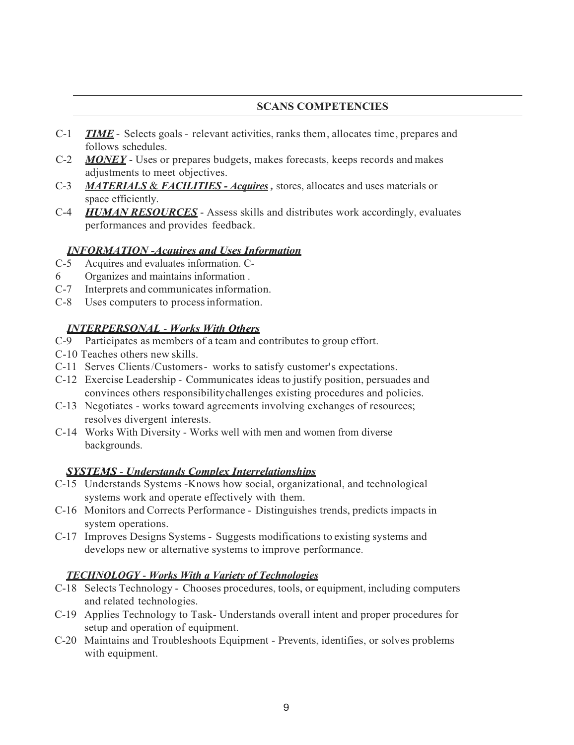# **SCANS COMPETENCIES**

- C-1 *TIME* Selects goals relevant activities, ranks them, allocates time, prepares and follows schedules.
- C-2 *MONEY* Uses or prepares budgets, makes forecasts, keeps records and makes adjustments to meet objectives.
- C-3 *MATERIALS* & *FACILITIES - Acquires ,* stores, allocates and uses materials or space efficiently.
- C-4 *HUMAN RESOURCES* Assess skills and distributes work accordingly, evaluates performances and provides feedback.

# *INFORMATION -Acquires and Uses Information*

- C-5 Acquires and evaluates information. C-
- 6 Organizes and maintains information .
- C-7 Interprets and communicates information.
- C-8 Uses computers to processinformation.

# *INTERPERSONAL* - *Works With Others*

- C-9 Participates as members of a team and contributes to group effort.
- C-10 Teaches others new skills.
- C-11 Serves Clients/Customers- works to satisfy customer's expectations.
- C-12 Exercise Leadership Communicates ideas to justify position, persuades and convinces others responsibilitychallenges existing procedures and policies.
- C-13 Negotiates works toward agreements involving exchanges of resources; resolves divergent interests.
- C-14 Works With Diversity Works well with men and women from diverse backgrounds.

# *SYSTEMS* - *Understands Complex Interrelationships*

- C-15 Understands Systems -Knows how social, organizational, and technological systems work and operate effectively with them.
- C-16 Monitors and Corrects Performance Distinguishes trends, predicts impacts in system operations.
- C-17 Improves Designs Systems Suggests modifications to existing systems and develops new or alternative systems to improve performance.

# *TECHNOLOGY* - *Works With a Variety of Technologies*

- C-18 Selects Technology Chooses procedures, tools, or equipment, including computers and related technologies.
- C-19 Applies Technology to Task- Understands overall intent and proper procedures for setup and operation of equipment.
- C-20 Maintains and Troubleshoots Equipment Prevents, identifies, or solves problems with equipment.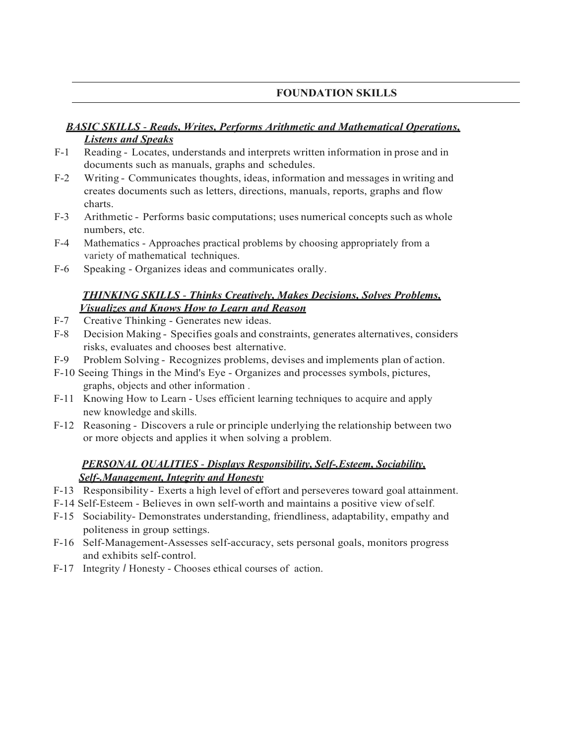# **FOUNDATION SKILLS**

# *BASIC SKILLS* - *Reads, Writes, Performs Arithmetic and Mathematical Operations, Listens and Speaks*

- F-1 Reading Locates, understands and interprets written information in prose and in documents such as manuals, graphs and schedules.
- F-2 Writing Communicates thoughts, ideas, information and messages in writing and creates documents such as letters, directions, manuals, reports, graphs and flow charts.
- F-3 Arithmetic Performs basic computations; uses numerical concepts such as whole numbers, etc.
- F-4 Mathematics Approaches practical problems by choosing appropriately from a variety of mathematical techniques.
- F-6 Speaking Organizes ideas and communicates orally.

# *THINKING SKILLS* - *Thinks Creatively, Makes Decisions, Solves Problems, Visualizes and Knows How to Learn and Reason*

- F-7 Creative Thinking Generates new ideas.
- F-8 Decision Making Specifies goals and constraints, generates alternatives, considers risks, evaluates and chooses best alternative.
- F-9 Problem Solving Recognizes problems, devises and implements plan of action.
- F-10 Seeing Things in the Mind's Eye Organizes and processes symbols, pictures, graphs, objects and other information .
- F-11 Knowing How to Learn Uses efficient learning techniques to acquire and apply new knowledge and skills.
- F-12 Reasoning Discovers a rule or principle underlying the relationship between two or more objects and applies it when solving a problem.

# *PERSONAL QUALITIES* - *Displays Responsibility, Self-.Esteem, Sociability, Self-.Management, Integrity and Honesty*

- F-13 Responsibility Exerts a high level of effort and perseveres toward goal attainment.
- F-14 Self-Esteem Believes in own self-worth and maintains a positive view ofself.
- F-15 Sociability- Demonstrates understanding, friendliness, adaptability, empathy and politeness in group settings.
- F-16 Self-Management-Assesses self-accuracy, sets personal goals, monitors progress and exhibits self-control.
- F-17 Integrity *I* Honesty Chooses ethical courses of action.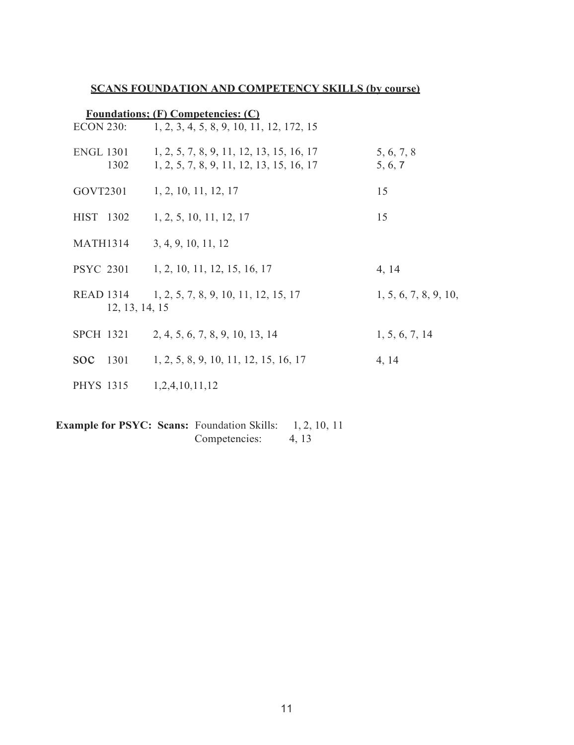# **SCANS FOUNDATION AND COMPETENCY SKILLS (by course)**

| <b>Foundations: (F) Competencies: (C)</b> |                                                                                      |                       |  |  |
|-------------------------------------------|--------------------------------------------------------------------------------------|-----------------------|--|--|
| <b>ECON 230:</b>                          | 1, 2, 3, 4, 5, 8, 9, 10, 11, 12, 172, 15                                             |                       |  |  |
| <b>ENGL 1301</b><br>1302                  | 1, 2, 5, 7, 8, 9, 11, 12, 13, 15, 16, 17<br>1, 2, 5, 7, 8, 9, 11, 12, 13, 15, 16, 17 | 5, 6, 7, 8<br>5, 6, 7 |  |  |
| GOVT2301                                  | 1, 2, 10, 11, 12, 17                                                                 | 15                    |  |  |
| HIST 1302                                 | 1, 2, 5, 10, 11, 12, 17                                                              | 15                    |  |  |
| <b>MATH1314</b>                           | 3, 4, 9, 10, 11, 12                                                                  |                       |  |  |
|                                           | PSYC 2301 1, 2, 10, 11, 12, 15, 16, 17                                               | 4, 14                 |  |  |
| <b>READ 1314</b><br>12, 13, 14, 15        | 1, 2, 5, 7, 8, 9, 10, 11, 12, 15, 17                                                 | 1, 5, 6, 7, 8, 9, 10, |  |  |
| <b>SPCH 1321</b>                          | 2, 4, 5, 6, 7, 8, 9, 10, 13, 14                                                      | 1, 5, 6, 7, 14        |  |  |
| <b>SOC</b><br>1301                        | 1, 2, 5, 8, 9, 10, 11, 12, 15, 16, 17                                                | 4, 14                 |  |  |
| <b>PHYS 1315</b>                          | 1,2,4,10,11,12                                                                       |                       |  |  |

**Example for PSYC: Scans:** Foundation Skills: 1, 2, 10, 11<br>Competencies: 4, 13 Competencies: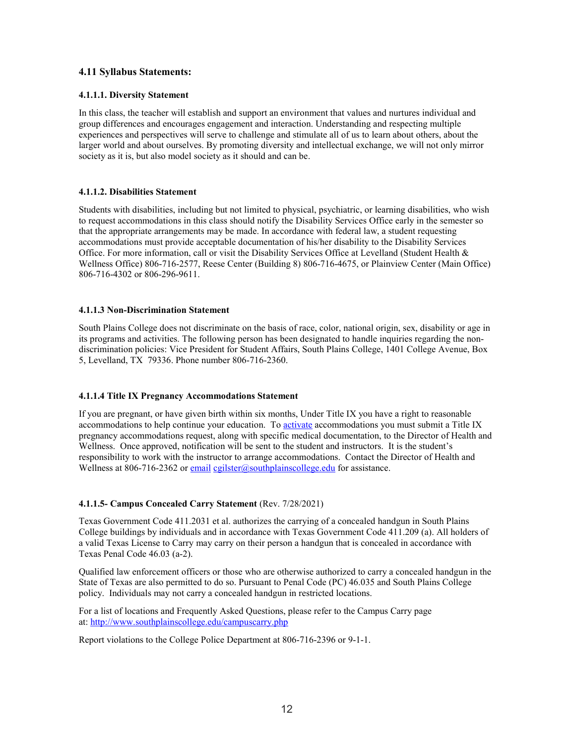# **4.11 Syllabus Statements:**

### **4.1.1.1. Diversity Statement**

In this class, the teacher will establish and support an environment that values and nurtures individual and group differences and encourages engagement and interaction. Understanding and respecting multiple experiences and perspectives will serve to challenge and stimulate all of us to learn about others, about the larger world and about ourselves. By promoting diversity and intellectual exchange, we will not only mirror society as it is, but also model society as it should and can be.

### **4.1.1.2. Disabilities Statement**

Students with disabilities, including but not limited to physical, psychiatric, or learning disabilities, who wish to request accommodations in this class should notify the Disability Services Office early in the semester so that the appropriate arrangements may be made. In accordance with federal law, a student requesting accommodations must provide acceptable documentation of his/her disability to the Disability Services Office. For more information, call or visit the Disability Services Office at Levelland (Student Health & Wellness Office) 806-716-2577, Reese Center (Building 8) 806-716-4675, or Plainview Center (Main Office) 806-716-4302 or 806-296-9611.

### **4.1.1.3 Non-Discrimination Statement**

South Plains College does not discriminate on the basis of race, color, national origin, sex, disability or age in its programs and activities. The following person has been designated to handle inquiries regarding the nondiscrimination policies: Vice President for Student Affairs, South Plains College, 1401 College Avenue, Box 5, Levelland, TX 79336. Phone number 806-716-2360.

### **4.1.1.4 Title IX Pregnancy Accommodations Statement**

If you are pregnant, or have given birth within six months, Under Title IX you have a right to reasonable accommodations to help continue your education. To [activate](http://www.southplainscollege.edu/employees/manualshandbooks/facultyhandbook/sec4.php) accommodations you must submit a Title IX pregnancy accommodations request, along with specific medical documentation, to the Director of Health and Wellness. Once approved, notification will be sent to the student and instructors. It is the student's responsibility to work with the instructor to arrange accommodations. Contact the Director of Health and Wellness at 806-716-2362 or [email](http://www.southplainscollege.edu/employees/manualshandbooks/facultyhandbook/sec4.php) [cgilster@southplainscollege.edu](mailto:cgilster@southplainscollege.edu) for assistance.

# **4.1.1.5- Campus Concealed Carry Statement** (Rev. 7/28/2021)

Texas Government Code 411.2031 et al. authorizes the carrying of a concealed handgun in South Plains College buildings by individuals and in accordance with Texas Government Code 411.209 (a). All holders of a valid Texas License to Carry may carry on their person a handgun that is concealed in accordance with Texas Penal Code 46.03 (a-2).

Qualified law enforcement officers or those who are otherwise authorized to carry a concealed handgun in the State of Texas are also permitted to do so. Pursuant to Penal Code (PC) 46.035 and South Plains College policy. Individuals may not carry a concealed handgun in restricted locations.

For a list of locations and Frequently Asked Questions, please refer to the Campus Carry page at: <http://www.southplainscollege.edu/campuscarry.php>

Report violations to the College Police Department at 806-716-2396 or 9-1-1.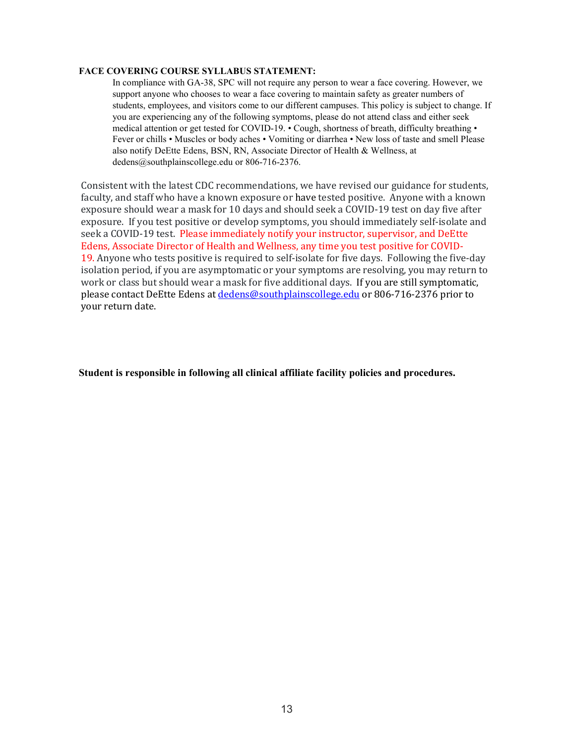### **FACE COVERING COURSE SYLLABUS STATEMENT:**

In compliance with GA-38, SPC will not require any person to wear a face covering. However, we support anyone who chooses to wear a face covering to maintain safety as greater numbers of students, employees, and visitors come to our different campuses. This policy is subject to change. If you are experiencing any of the following symptoms, please do not attend class and either seek medical attention or get tested for COVID-19. • Cough, shortness of breath, difficulty breathing • Fever or chills • Muscles or body aches • Vomiting or diarrhea • New loss of taste and smell Please also notify DeEtte Edens, BSN, RN, Associate Director of Health & Wellness, at dedens@southplainscollege.edu or 806-716-2376.

Consistent with the latest CDC recommendations, we have revised our guidance for students, faculty, and staff who have a known exposure or have tested positive. Anyone with a known exposure should wear a mask for 10 days and should seek a COVID-19 test on day five after exposure. If you test positive or develop symptoms, you should immediately self-isolate and seek a COVID-19 test. Please immediately notify your instructor, supervisor, and DeEtte Edens, Associate Director of Health and Wellness, any time you test positive for COVID-19. Anyone who tests positive is required to self-isolate for five days. Following the five-day isolation period, if you are asymptomatic or your symptoms are resolving, you may return to work or class but should wear a mask for five additional days. If you are still symptomatic, please contact DeEtte Edens at [dedens@southplainscollege.edu](mailto:dedens@southplainscollege.edu) or 806-716-2376 prior to your return date.

**Student is responsible in following all clinical affiliate facility policies and procedures.**